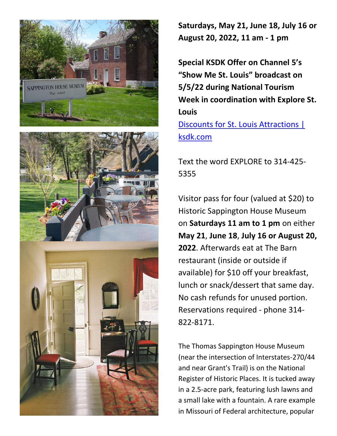



**Saturdays, May 21, June 18, July 16 or August 20, 2022, 11 am - 1 pm**

**Special KSDK Offer on Channel 5's "Show Me St. Louis" broadcast on 5/5/22 during National Tourism Week in coordination with Explore St. Louis** [Discounts for St. Louis Attractions |](https://www.ksdk.com/article/entertainment/television/show-me-st-louis/discounts-for-st-louis-attractions/63-6e4d5521-725a-4444-a717-fd075573fee2) 

[ksdk.com](https://www.ksdk.com/article/entertainment/television/show-me-st-louis/discounts-for-st-louis-attractions/63-6e4d5521-725a-4444-a717-fd075573fee2)

Text the word EXPLORE to 314-425- 5355

Visitor pass for four (valued at \$20) to Historic Sappington House Museum on **Saturdays 11 am to 1 pm** on either **May 21**, **June 18**, **July 16 or August 20, 2022**. Afterwards eat at The Barn restaurant (inside or outside if available) for \$10 off your breakfast, lunch or snack/dessert that same day. No cash refunds for unused portion. Reservations required - phone 314- 822-8171.

The Thomas Sappington House Museum (near the intersection of Interstates-270/44 and near Grant's Trail) is on the National Register of Historic Places. It is tucked away in a 2.5-acre park, featuring lush lawns and a small lake with a fountain. A rare example in Missouri of Federal architecture, popular